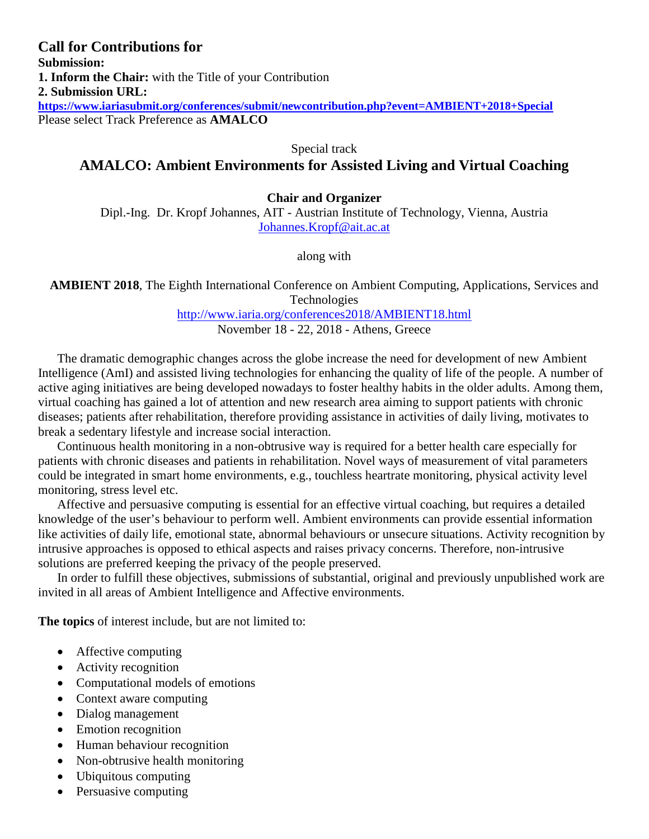# **Call for Contributions for Submission: 1. Inform the Chair:** with the Title of your Contribution **2. Submission URL: <https://www.iariasubmit.org/conferences/submit/newcontribution.php?event=AMBIENT+2018+Special>** Please select Track Preference as **AMALCO**

Special track

# **AMALCO: Ambient Environments for Assisted Living and Virtual Coaching**

## **Chair and Organizer**

Dipl.-Ing. Dr. Kropf Johannes, AIT - Austrian Institute of Technology, Vienna, Austria [Johannes.Kropf@ait.ac.at](mailto:Johannes.Kropf@ait.ac.at)

along with

**AMBIENT 2018**, The Eighth International Conference on Ambient Computing, Applications, Services and Technologies

<http://www.iaria.org/conferences2018/AMBIENT18.html>

November 18 - 22, 2018 - Athens, Greece

The dramatic demographic changes across the globe increase the need for development of new Ambient Intelligence (AmI) and assisted living technologies for enhancing the quality of life of the people. A number of active aging initiatives are being developed nowadays to foster healthy habits in the older adults. Among them, virtual coaching has gained a lot of attention and new research area aiming to support patients with chronic diseases; patients after rehabilitation, therefore providing assistance in activities of daily living, motivates to break a sedentary lifestyle and increase social interaction.

Continuous health monitoring in a non-obtrusive way is required for a better health care especially for patients with chronic diseases and patients in rehabilitation. Novel ways of measurement of vital parameters could be integrated in smart home environments, e.g., touchless heartrate monitoring, physical activity level monitoring, stress level etc.

Affective and persuasive computing is essential for an effective virtual coaching, but requires a detailed knowledge of the user's behaviour to perform well. Ambient environments can provide essential information like activities of daily life, emotional state, abnormal behaviours or unsecure situations. Activity recognition by intrusive approaches is opposed to ethical aspects and raises privacy concerns. Therefore, non-intrusive solutions are preferred keeping the privacy of the people preserved.

In order to fulfill these objectives, submissions of substantial, original and previously unpublished work are invited in all areas of Ambient Intelligence and Affective environments.

**The topics** of interest include, but are not limited to:

- Affective computing
- Activity recognition
- Computational models of emotions
- Context aware computing
- Dialog management
- Emotion recognition
- Human behaviour recognition
- Non-obtrusive health monitoring
- Ubiquitous computing
- Persuasive computing